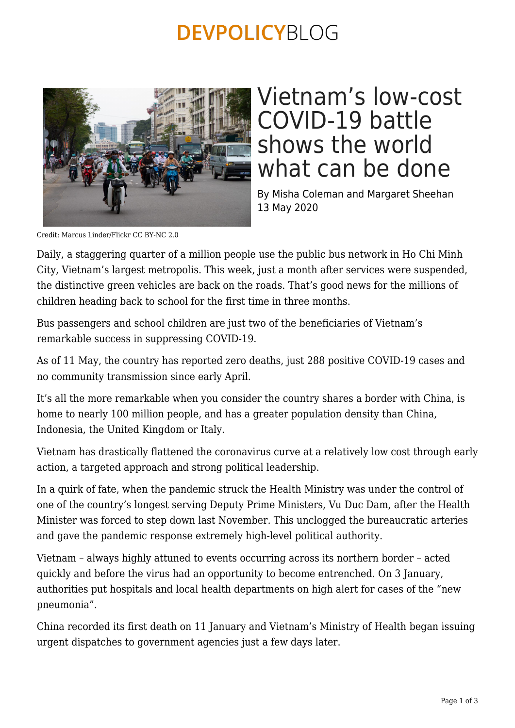## **DEVPOLICYBLOG**



## Vietnam's low-cost COVID-19 battle shows the world what can be done

By Misha Coleman and Margaret Sheehan 13 May 2020

Credit: Marcus Linder/Flickr CC BY-NC 2.0

Daily, a staggering quarter of a million people use the public bus network in Ho Chi Minh City, Vietnam's largest metropolis. This week, just a month after services were suspended, the distinctive green vehicles are back on the roads. That's good news for the millions of children heading back to school for the first time in three months.

Bus passengers and school children are just two of the beneficiaries of Vietnam's remarkable success in suppressing COVID-19.

As of 11 May, the country has reported zero deaths, just 288 positive COVID-19 cases and no community transmission since early April.

It's all the more remarkable when you consider the country shares a border with China, is home to nearly 100 million people, and has a greater population density than China, Indonesia, the United Kingdom or Italy.

Vietnam has drastically flattened the coronavirus curve at a relatively low cost through early action, a targeted approach and strong political leadership.

In a quirk of fate, when the pandemic struck the Health Ministry was under the control of one of the country's longest serving Deputy Prime Ministers, Vu Duc Dam, after the Health Minister was forced to step down last November. This unclogged the bureaucratic arteries and gave the pandemic response extremely high-level political authority.

Vietnam – always highly attuned to events occurring across its northern border – acted quickly and before the virus had an opportunity to become entrenched. On 3 January, authorities put hospitals and local health departments on high alert for cases of the "new pneumonia".

China recorded its first death on 11 January and Vietnam's Ministry of Health began issuing urgent dispatches to government agencies just a few days later.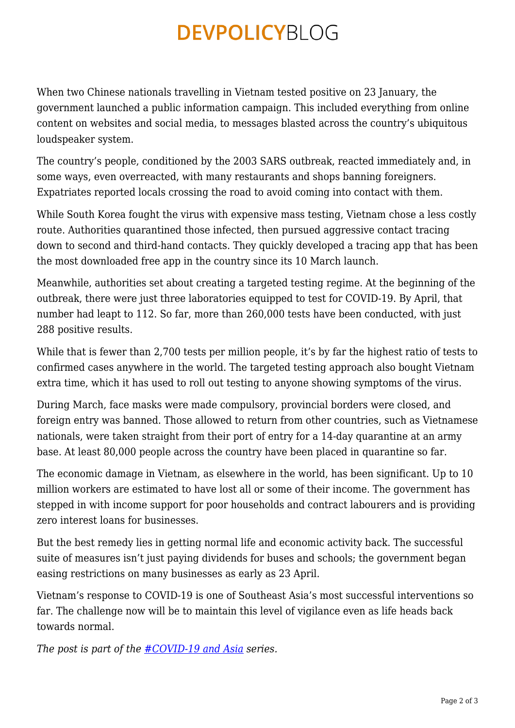## **DEVPOLICYBLOG**

When two Chinese nationals travelling in Vietnam tested positive on 23 January, the government launched a public information campaign. This included everything from online content on websites and social media, to messages blasted across the country's ubiquitous loudspeaker system.

The country's people, conditioned by the 2003 SARS outbreak, reacted immediately and, in some ways, even overreacted, with many restaurants and shops banning foreigners. Expatriates reported locals crossing the road to avoid coming into contact with them.

While South Korea fought the virus with expensive mass testing, Vietnam chose a less costly route. Authorities quarantined those infected, then pursued aggressive contact tracing down to second and third-hand contacts. They quickly developed a tracing app that has been the most downloaded free app in the country since its 10 March launch.

Meanwhile, authorities set about creating a targeted testing regime. At the beginning of the outbreak, there were just three laboratories equipped to test for COVID-19. By April, that number had leapt to 112. So far, more than 260,000 tests have been conducted, with just 288 positive results.

While that is fewer than 2,700 tests per million people, it's by far the highest ratio of tests to confirmed cases anywhere in the world. The targeted testing approach also bought Vietnam extra time, which it has used to roll out testing to anyone showing symptoms of the virus.

During March, face masks were made compulsory, provincial borders were closed, and foreign entry was banned. Those allowed to return from other countries, such as Vietnamese nationals, were taken straight from their port of entry for a 14-day quarantine at an army base. At least 80,000 people across the country have been placed in quarantine so far.

The economic damage in Vietnam, as elsewhere in the world, has been significant. Up to 10 million workers are estimated to have lost all or some of their income. The government has stepped in with income support for poor households and contract labourers and is providing zero interest loans for businesses.

But the best remedy lies in getting normal life and economic activity back. The successful suite of measures isn't just paying dividends for buses and schools; the government began easing restrictions on many businesses as early as 23 April.

Vietnam's response to COVID-19 is one of Southeast Asia's most successful interventions so far. The challenge now will be to maintain this level of vigilance even as life heads back towards normal.

*The post is part of the [#COVID-19 and Asia](https://devpolicy.org/tag/covid-19-and-asia/) series.*